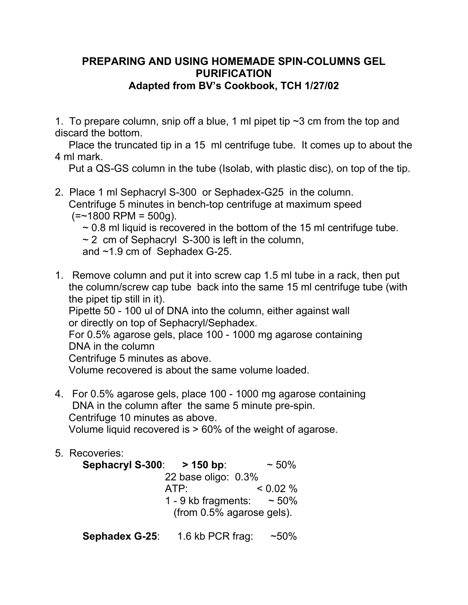# **PREPARING AND USING HOMEMADE SPIN-COLUMNS GEL PURIFICATION Adapted from BV's Cookbook, TCH 1/27/02**

1. To prepare column, snip off a blue, 1 ml pipet tip  $\sim$ 3 cm from the top and discard the bottom.

Place the truncated tip in a 15 ml centrifuge tube. It comes up to about the 4 ml mark.

Put a QS-GS column in the tube (Isolab, with plastic disc), on top of the tip.

2. Place 1 ml Sephacryl S-300 or Sephadex-G25 in the column. Centrifuge 5 minutes in bench-top centrifuge at maximum speed  $(=$  ~1800 RPM = 500g).

 $\sim$  0.8 ml liquid is recovered in the bottom of the 15 ml centrifuge tube.

 $\sim$  2 cm of Sephacryl S-300 is left in the column,

and ~1.9 cm of Sephadex G-25.

1. Remove column and put it into screw cap 1.5 ml tube in a rack, then put the column/screw cap tube back into the same 15 ml centrifuge tube (with the pipet tip still in it).

Pipette 50 - 100 ul of DNA into the column, either against wall or directly on top of Sephacryl/Sephadex.

For 0.5% agarose gels, place 100 - 1000 mg agarose containing DNA in the column

Centrifuge 5 minutes as above.

Volume recovered is about the same volume loaded.

- 4. For 0.5% agarose gels, place 100 1000 mg agarose containing DNA in the column after the same 5 minute pre-spin. Centrifuge 10 minutes as above. Volume liquid recovered is > 60% of the weight of agarose.
- 5. Recoveries:

| Sephacryl S-300: > 150 bp:   | $~10\%$     |  |
|------------------------------|-------------|--|
| 22 base oligo: 0.3%          |             |  |
| ATP:                         | $< 0.02 \%$ |  |
| 1 - 9 kb fragments:          | $~1$ - 50%  |  |
| (from $0.5\%$ agarose gels). |             |  |
|                              |             |  |

**Sephadex G-25**: 1.6 kb PCR frag: ~50%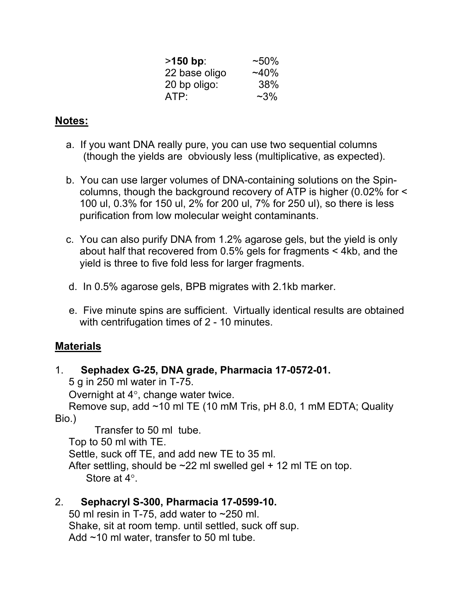| $>150$ bp:    | $~10\%$  |
|---------------|----------|
| 22 base oligo | $~140\%$ |
| 20 bp oligo:  | 38%      |
| ATP:          | $~2\%$   |

# **Notes:**

- a. If you want DNA really pure, you can use two sequential columns (though the yields are obviously less (multiplicative, as expected).
- b. You can use larger volumes of DNA-containing solutions on the Spincolumns, though the background recovery of ATP is higher (0.02% for < 100 ul, 0.3% for 150 ul, 2% for 200 ul, 7% for 250 ul), so there is less purification from low molecular weight contaminants.
- c. You can also purify DNA from 1.2% agarose gels, but the yield is only about half that recovered from 0.5% gels for fragments < 4kb, and the yield is three to five fold less for larger fragments.
- d. In 0.5% agarose gels, BPB migrates with 2.1kb marker.
- e. Five minute spins are sufficient. Virtually identical results are obtained with centrifugation times of 2 - 10 minutes.

## **Materials**

## 1. **Sephadex G-25, DNA grade, Pharmacia 17-0572-01.**

5 g in 250 ml water in T-75.

Overnight at  $4^\circ$ , change water twice.

Remove sup, add ~10 ml TE (10 mM Tris, pH 8.0, 1 mM EDTA; Quality Bio.)

 Transfer to 50 ml tube. Top to 50 ml with TE. Settle, suck off TE, and add new TE to 35 ml. After settling, should be  $\sim$ 22 ml swelled gel + 12 ml TE on top. Store at  $4^\circ$ 

## 2. **Sephacryl S-300, Pharmacia 17-0599-10.**

50 ml resin in T-75, add water to ~250 ml. Shake, sit at room temp. until settled, suck off sup. Add ~10 ml water, transfer to 50 ml tube.